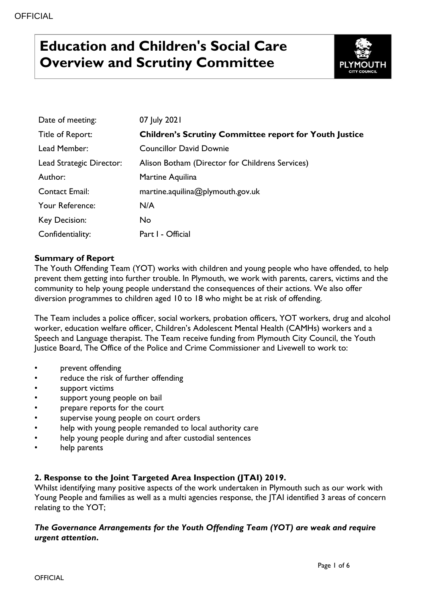# **Education and Children's Social Care Overview and Scrutiny Committee**



| Date of meeting:         | 07 July 2021                                                  |
|--------------------------|---------------------------------------------------------------|
| Title of Report:         | <b>Children's Scrutiny Committee report for Youth Justice</b> |
| Lead Member:             | <b>Councillor David Downie</b>                                |
| Lead Strategic Director: | Alison Botham (Director for Childrens Services)               |
| Author:                  | Martine Aquilina                                              |
| Contact Email:           | martine.aquilina@plymouth.gov.uk                              |
| Your Reference:          | N/A                                                           |
| Key Decision:            | <b>No</b>                                                     |
| Confidentiality:         | Part I - Official                                             |

## **Summary of Report**

The Youth Offending Team (YOT) works with children and young people who have offended, to help prevent them getting into further trouble. In Plymouth, we work with parents, carers, victims and the community to help young people understand the consequences of their actions. We also offer diversion programmes to children aged 10 to 18 who might be at risk of offending.

The Team includes a police officer, social workers, probation officers, YOT workers, drug and alcohol worker, education welfare officer, Children's Adolescent Mental Health (CAMHs) workers and a Speech and Language therapist. The Team receive funding from Plymouth City Council, the Youth Justice Board, The Office of the Police and Crime Commissioner and Livewell to work to:

- prevent offending
- reduce the risk of further offending
- support victims
- support young people on bail
- prepare reports for the court
- supervise young people on court orders
- help with young people remanded to local authority care
- help young people during and after custodial sentences
- help parents

## **2. Response to the Joint Targeted Area Inspection (JTAI) 2019.**

Whilst identifying many positive aspects of the work undertaken in Plymouth such as our work with Young People and families as well as a multi agencies response, the JTAI identified 3 areas of concern relating to the YOT;

## *The Governance Arrangements for the Youth Offending Team (YOT) are weak and require urgent attention***.**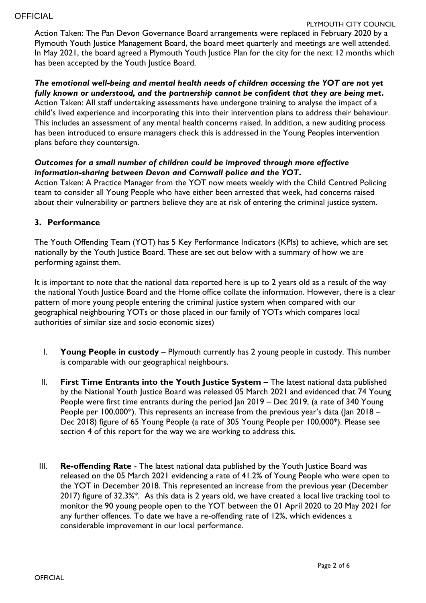#### PLYMOUTH CITY COUNCIL

Action Taken: The Pan Devon Governance Board arrangements were replaced in February 2020 by a Plymouth Youth Justice Management Board, the board meet quarterly and meetings are well attended. In May 2021, the board agreed a Plymouth Youth Justice Plan for the city for the next 12 months which has been accepted by the Youth Justice Board.

#### *The emotional well-being and mental health needs of children accessing the YOT are not yet fully known or understood, and the partnership cannot be confident that they are being met***.**

Action Taken: All staff undertaking assessments have undergone training to analyse the impact of a child's lived experience and incorporating this into their intervention plans to address their behaviour. This includes an assessment of any mental health concerns raised. In addition, a new auditing process has been introduced to ensure managers check this is addressed in the Young Peoples intervention plans before they countersign.

## *Outcomes for a small number of children could be improved through more effective information-sharing between Devon and Cornwall police and the YOT***.**

Action Taken: A Practice Manager from the YOT now meets weekly with the Child Centred Policing team to consider all Young People who have either been arrested that week, had concerns raised about their vulnerability or partners believe they are at risk of entering the criminal justice system.

## **3. Performance**

The Youth Offending Team (YOT) has 5 Key Performance Indicators (KPIs) to achieve, which are set nationally by the Youth Justice Board. These are set out below with a summary of how we are performing against them.

It is important to note that the national data reported here is up to 2 years old as a result of the way the national Youth Justice Board and the Home office collate the information. However, there is a clear pattern of more young people entering the criminal justice system when compared with our geographical neighbouring YOTs or those placed in our family of YOTs which compares local authorities of similar size and socio economic sizes)

- I. **Young People in custody** Plymouth currently has 2 young people in custody. This number is comparable with our geographical neighbours.
- II. **First Time Entrants into the Youth Justice System** The latest national data published by the National Youth Justice Board was released 05 March 2021 and evidenced that 74 Young People were first time entrants during the period Jan 2019 – Dec 2019, (a rate of 340 Young People per 100,000<sup>\*</sup>). This represents an increase from the previous year's data (Jan 2018 – Dec 2018) figure of 65 Young People (a rate of 305 Young People per 100,000\*). Please see section 4 of this report for the way we are working to address this.
- III. **Re-offending Rate** The latest national data published by the Youth Justice Board was released on the 05 March 2021 evidencing a rate of 41.2% of Young People who were open to the YOT in December 2018. This represented an increase from the previous year (December 2017) figure of 32.3%\*. As this data is 2 years old, we have created a local live tracking tool to monitor the 90 young people open to the YOT between the 01 April 2020 to 20 May 2021 for any further offences. To date we have a re-offending rate of 12%, which evidences a considerable improvement in our local performance.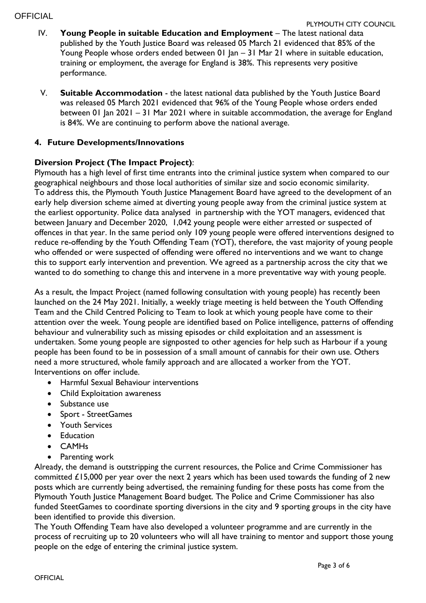**OFFICIAL** 

- IV. **Young People in suitable Education and Employment** The latest national data published by the Youth Justice Board was released 05 March 21 evidenced that 85% of the Young People whose orders ended between 01 Jan – 31 Mar 21 where in suitable education, training or employment, the average for England is 38%. This represents very positive performance.
- V. **Suitable Accommodation**  the latest national data published by the Youth Justice Board was released 05 March 2021 evidenced that 96% of the Young People whose orders ended between 01 Jan 2021 – 31 Mar 2021 where in suitable accommodation, the average for England is 84%. We are continuing to perform above the national average.

# **4. Future Developments/Innovations**

# **Diversion Project (The Impact Project)**:

Plymouth has a high level of first time entrants into the criminal justice system when compared to our geographical neighbours and those local authorities of similar size and socio economic similarity. To address this, the Plymouth Youth Justice Management Board have agreed to the development of an early help diversion scheme aimed at diverting young people away from the criminal justice system at the earliest opportunity. Police data analysed in partnership with the YOT managers, evidenced that between January and December 2020, 1,042 young people were either arrested or suspected of offences in that year. In the same period only 109 young people were offered interventions designed to reduce re-offending by the Youth Offending Team (YOT), therefore, the vast majority of young people who offended or were suspected of offending were offered no interventions and we want to change this to support early intervention and prevention. We agreed as a partnership across the city that we wanted to do something to change this and intervene in a more preventative way with young people.

As a result, the Impact Project (named following consultation with young people) has recently been launched on the 24 May 2021. Initially, a weekly triage meeting is held between the Youth Offending Team and the Child Centred Policing to Team to look at which young people have come to their attention over the week. Young people are identified based on Police intelligence, patterns of offending behaviour and vulnerability such as missing episodes or child exploitation and an assessment is undertaken. Some young people are signposted to other agencies for help such as Harbour if a young people has been found to be in possession of a small amount of cannabis for their own use. Others need a more structured, whole family approach and are allocated a worker from the YOT. Interventions on offer include.

- Harmful Sexual Behaviour interventions
- Child Exploitation awareness
- Substance use
- Sport StreetGames
- Youth Services
- Education
- CAMHs
- Parenting work

Already, the demand is outstripping the current resources, the Police and Crime Commissioner has committed £15,000 per year over the next 2 years which has been used towards the funding of 2 new posts which are currently being advertised, the remaining funding for these posts has come from the Plymouth Youth Justice Management Board budget. The Police and Crime Commissioner has also funded SteetGames to coordinate sporting diversions in the city and 9 sporting groups in the city have been identified to provide this diversion.

The Youth Offending Team have also developed a volunteer programme and are currently in the process of recruiting up to 20 volunteers who will all have training to mentor and support those young people on the edge of entering the criminal justice system.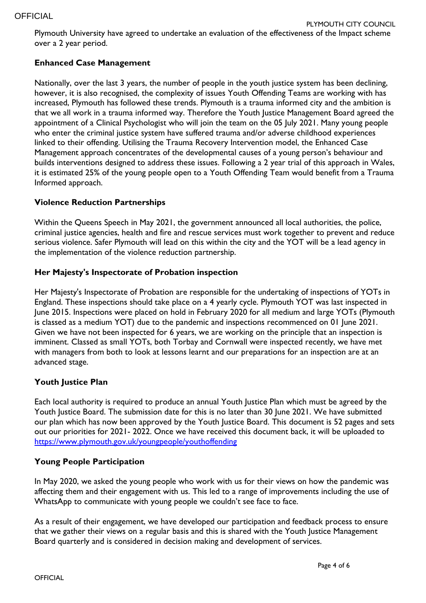Plymouth University have agreed to undertake an evaluation of the effectiveness of the Impact scheme over a 2 year period.

# **Enhanced Case Management**

Nationally, over the last 3 years, the number of people in the youth justice system has been declining, however, it is also recognised, the complexity of issues Youth Offending Teams are working with has increased, Plymouth has followed these trends. Plymouth is a trauma informed city and the ambition is that we all work in a trauma informed way. Therefore the Youth Justice Management Board agreed the appointment of a Clinical Psychologist who will join the team on the 05 July 2021. Many young people who enter the criminal justice system have suffered trauma and/or adverse childhood experiences linked to their offending. Utilising the Trauma Recovery Intervention model, the Enhanced Case Management approach concentrates of the developmental causes of a young person's behaviour and builds interventions designed to address these issues. Following a 2 year trial of this approach in Wales, it is estimated 25% of the young people open to a Youth Offending Team would benefit from a Trauma Informed approach.

# **Violence Reduction Partnerships**

Within the Queens Speech in May 2021, the government announced all local authorities, the police, criminal justice agencies, health and fire and rescue services must work together to prevent and reduce serious violence. Safer Plymouth will lead on this within the city and the YOT will be a lead agency in the implementation of the violence reduction partnership.

## **Her Majesty's Inspectorate of Probation inspection**

Her Majesty's Inspectorate of Probation are responsible for the undertaking of inspections of YOTs in England. These inspections should take place on a 4 yearly cycle. Plymouth YOT was last inspected in June 2015. Inspections were placed on hold in February 2020 for all medium and large YOTs (Plymouth is classed as a medium YOT) due to the pandemic and inspections recommenced on 01 June 2021. Given we have not been inspected for 6 years, we are working on the principle that an inspection is imminent. Classed as small YOTs, both Torbay and Cornwall were inspected recently, we have met with managers from both to look at lessons learnt and our preparations for an inspection are at an advanced stage.

## **Youth Justice Plan**

Each local authority is required to produce an annual Youth Justice Plan which must be agreed by the Youth Justice Board. The submission date for this is no later than 30 June 2021. We have submitted our plan which has now been approved by the Youth Justice Board. This document is 52 pages and sets out our priorities for 2021- 2022. Once we have received this document back, it will be uploaded to <https://www.plymouth.gov.uk/youngpeople/youthoffending>

## **Young People Participation**

In May 2020, we asked the young people who work with us for their views on how the pandemic was affecting them and their engagement with us. This led to a range of improvements including the use of WhatsApp to communicate with young people we couldn't see face to face.

As a result of their engagement, we have developed our participation and feedback process to ensure that we gather their views on a regular basis and this is shared with the Youth Justice Management Board quarterly and is considered in decision making and development of services.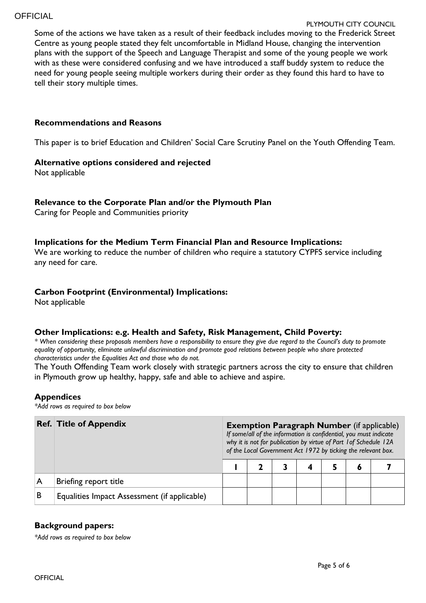#### **OFFICIAL**

#### PLYMOUTH CITY COUNCIL

Some of the actions we have taken as a result of their feedback includes moving to the Frederick Street Centre as young people stated they felt uncomfortable in Midland House, changing the intervention plans with the support of the Speech and Language Therapist and some of the young people we work with as these were considered confusing and we have introduced a staff buddy system to reduce the need for young people seeing multiple workers during their order as they found this hard to have to tell their story multiple times.

#### **Recommendations and Reasons**

This paper is to brief Education and Children' Social Care Scrutiny Panel on the Youth Offending Team.

#### **Alternative options considered and rejected**

Not applicable

#### **Relevance to the Corporate Plan and/or the Plymouth Plan**

Caring for People and Communities priority

#### **Implications for the Medium Term Financial Plan and Resource Implications:**

We are working to reduce the number of children who require a statutory CYPFS service including any need for care.

#### **Carbon Footprint (Environmental) Implications:**

Not applicable

## **Other Implications: e.g. Health and Safety, Risk Management, Child Poverty:**

*\* When considering these proposals members have a responsibility to ensure they give due regard to the Council's duty to promote equality of opportunity, eliminate unlawful discrimination and promote good relations between people who share protected characteristics under the Equalities Act and those who do not.*

The Youth Offending Team work closely with strategic partners across the city to ensure that children in Plymouth grow up healthy, happy, safe and able to achieve and aspire.

#### **Appendices**

*\*Add rows as required to box below*

|   | <b>Ref. Title of Appendix</b>                |  | <b>Exemption Paragraph Number</b> (if applicable)<br>If some/all of the information is confidential, you must indicate<br>why it is not for publication by virtue of Part 1 of Schedule 12A<br>of the Local Government Act 1972 by ticking the relevant box. |  |  |  |  |  |  |  |  |
|---|----------------------------------------------|--|--------------------------------------------------------------------------------------------------------------------------------------------------------------------------------------------------------------------------------------------------------------|--|--|--|--|--|--|--|--|
|   |                                              |  |                                                                                                                                                                                                                                                              |  |  |  |  |  |  |  |  |
|   | Briefing report title                        |  |                                                                                                                                                                                                                                                              |  |  |  |  |  |  |  |  |
| B | Equalities Impact Assessment (if applicable) |  |                                                                                                                                                                                                                                                              |  |  |  |  |  |  |  |  |

## **Background papers:**

*\*Add rows as required to box below*